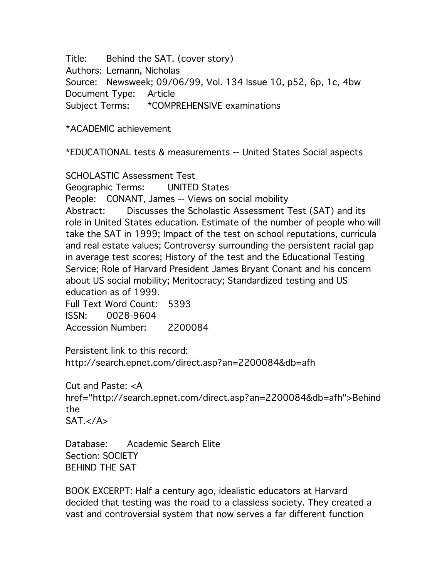Title: Behind the SAT. (cover story) Authors: Lemann, Nicholas Source: Newsweek; 09/06/99, Vol. 134 Issue 10, p52, 6p, 1c, 4bw Document Type: Article Subject Terms: \*COMPREHENSIVE examinations

\*ACADEMIC achievement

\*EDUCATIONAL tests & measurements -- United States Social aspects

SCHOLASTIC Assessment Test

Geographic Terms: UNITED States

People: CONANT, James -- Views on social mobility

Abstract: Discusses the Scholastic Assessment Test (SAT) and its role in United States education. Estimate of the number of people who will take the SAT in 1999; Impact of the test on school reputations, curricula and real estate values; Controversy surrounding the persistent racial gap in average test scores; History of the test and the Educational Testing Service; Role of Harvard President James Bryant Conant and his concern about US social mobility; Meritocracy; Standardized testing and US education as of 1999.

Full Text Word Count: 5393 ISSN: 0028-9604 Accession Number: 2200084

Persistent link to this record: http://search.epnet.com/direct.asp?an=2200084&db=afh

Cut and Paste: <A href="http://search.epnet.com/direct.asp?an=2200084&db=afh">Behind the  $SAT. < /A$ 

Database: Academic Search Elite Section: SOCIETY BEHIND THE SAT

BOOK EXCERPT: Half a century ago, idealistic educators at Harvard decided that testing was the road to a classless society. They created a vast and controversial system that now serves a far different function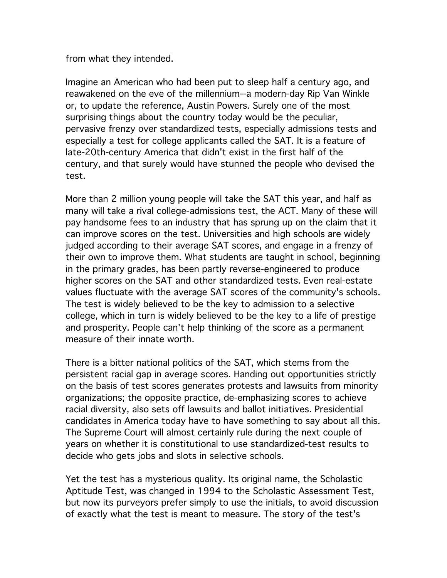from what they intended.

Imagine an American who had been put to sleep half a century ago, and reawakened on the eve of the millennium--a modern-day Rip Van Winkle or, to update the reference, Austin Powers. Surely one of the most surprising things about the country today would be the peculiar, pervasive frenzy over standardized tests, especially admissions tests and especially a test for college applicants called the SAT. It is a feature of late-20th-century America that didn't exist in the first half of the century, and that surely would have stunned the people who devised the test.

More than 2 million young people will take the SAT this year, and half as many will take a rival college-admissions test, the ACT. Many of these will pay handsome fees to an industry that has sprung up on the claim that it can improve scores on the test. Universities and high schools are widely judged according to their average SAT scores, and engage in a frenzy of their own to improve them. What students are taught in school, beginning in the primary grades, has been partly reverse-engineered to produce higher scores on the SAT and other standardized tests. Even real-estate values fluctuate with the average SAT scores of the community's schools. The test is widely believed to be the key to admission to a selective college, which in turn is widely believed to be the key to a life of prestige and prosperity. People can't help thinking of the score as a permanent measure of their innate worth.

There is a bitter national politics of the SAT, which stems from the persistent racial gap in average scores. Handing out opportunities strictly on the basis of test scores generates protests and lawsuits from minority organizations; the opposite practice, de-emphasizing scores to achieve racial diversity, also sets off lawsuits and ballot initiatives. Presidential candidates in America today have to have something to say about all this. The Supreme Court will almost certainly rule during the next couple of years on whether it is constitutional to use standardized-test results to decide who gets jobs and slots in selective schools.

Yet the test has a mysterious quality. Its original name, the Scholastic Aptitude Test, was changed in 1994 to the Scholastic Assessment Test, but now its purveyors prefer simply to use the initials, to avoid discussion of exactly what the test is meant to measure. The story of the test's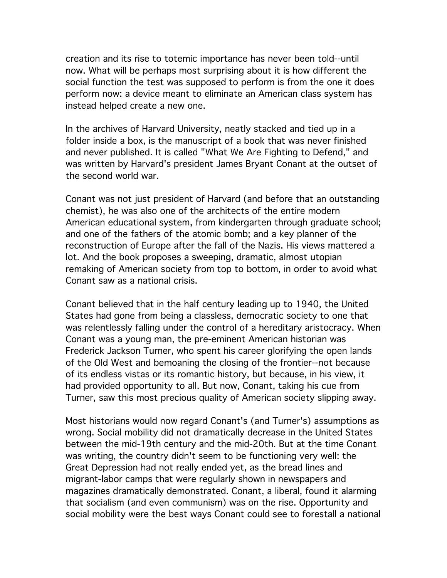creation and its rise to totemic importance has never been told--until now. What will be perhaps most surprising about it is how different the social function the test was supposed to perform is from the one it does perform now: a device meant to eliminate an American class system has instead helped create a new one.

In the archives of Harvard University, neatly stacked and tied up in a folder inside a box, is the manuscript of a book that was never finished and never published. It is called "What We Are Fighting to Defend," and was written by Harvard's president James Bryant Conant at the outset of the second world war.

Conant was not just president of Harvard (and before that an outstanding chemist), he was also one of the architects of the entire modern American educational system, from kindergarten through graduate school; and one of the fathers of the atomic bomb; and a key planner of the reconstruction of Europe after the fall of the Nazis. His views mattered a lot. And the book proposes a sweeping, dramatic, almost utopian remaking of American society from top to bottom, in order to avoid what Conant saw as a national crisis.

Conant believed that in the half century leading up to 1940, the United States had gone from being a classless, democratic society to one that was relentlessly falling under the control of a hereditary aristocracy. When Conant was a young man, the pre-eminent American historian was Frederick Jackson Turner, who spent his career glorifying the open lands of the Old West and bemoaning the closing of the frontier--not because of its endless vistas or its romantic history, but because, in his view, it had provided opportunity to all. But now, Conant, taking his cue from Turner, saw this most precious quality of American society slipping away.

Most historians would now regard Conant's (and Turner's) assumptions as wrong. Social mobility did not dramatically decrease in the United States between the mid-19th century and the mid-20th. But at the time Conant was writing, the country didn't seem to be functioning very well: the Great Depression had not really ended yet, as the bread lines and migrant-labor camps that were regularly shown in newspapers and magazines dramatically demonstrated. Conant, a liberal, found it alarming that socialism (and even communism) was on the rise. Opportunity and social mobility were the best ways Conant could see to forestall a national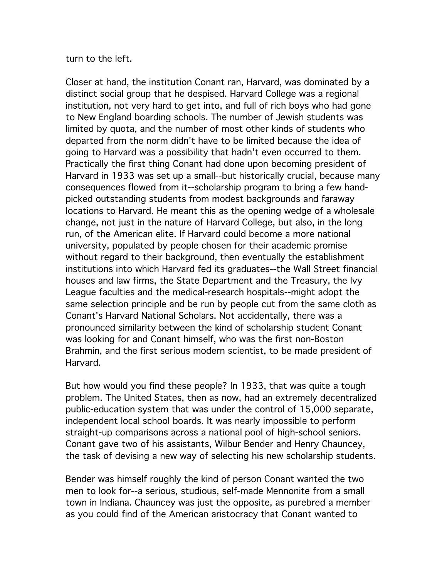turn to the left.

Closer at hand, the institution Conant ran, Harvard, was dominated by a distinct social group that he despised. Harvard College was a regional institution, not very hard to get into, and full of rich boys who had gone to New England boarding schools. The number of Jewish students was limited by quota, and the number of most other kinds of students who departed from the norm didn't have to be limited because the idea of going to Harvard was a possibility that hadn't even occurred to them. Practically the first thing Conant had done upon becoming president of Harvard in 1933 was set up a small--but historically crucial, because many consequences flowed from it--scholarship program to bring a few handpicked outstanding students from modest backgrounds and faraway locations to Harvard. He meant this as the opening wedge of a wholesale change, not just in the nature of Harvard College, but also, in the long run, of the American elite. If Harvard could become a more national university, populated by people chosen for their academic promise without regard to their background, then eventually the establishment institutions into which Harvard fed its graduates--the Wall Street financial houses and law firms, the State Department and the Treasury, the Ivy League faculties and the medical-research hospitals--might adopt the same selection principle and be run by people cut from the same cloth as Conant's Harvard National Scholars. Not accidentally, there was a pronounced similarity between the kind of scholarship student Conant was looking for and Conant himself, who was the first non-Boston Brahmin, and the first serious modern scientist, to be made president of Harvard.

But how would you find these people? In 1933, that was quite a tough problem. The United States, then as now, had an extremely decentralized public-education system that was under the control of 15,000 separate, independent local school boards. It was nearly impossible to perform straight-up comparisons across a national pool of high-school seniors. Conant gave two of his assistants, Wilbur Bender and Henry Chauncey, the task of devising a new way of selecting his new scholarship students.

Bender was himself roughly the kind of person Conant wanted the two men to look for--a serious, studious, self-made Mennonite from a small town in Indiana. Chauncey was just the opposite, as purebred a member as you could find of the American aristocracy that Conant wanted to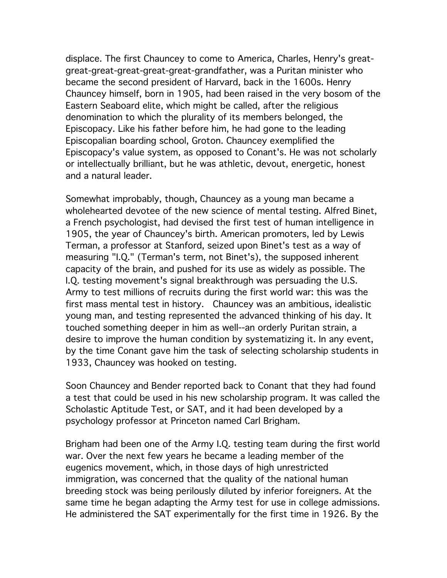displace. The first Chauncey to come to America, Charles, Henry's greatgreat-great-great-great-great-grandfather, was a Puritan minister who became the second president of Harvard, back in the 1600s. Henry Chauncey himself, born in 1905, had been raised in the very bosom of the Eastern Seaboard elite, which might be called, after the religious denomination to which the plurality of its members belonged, the Episcopacy. Like his father before him, he had gone to the leading Episcopalian boarding school, Groton. Chauncey exemplified the Episcopacy's value system, as opposed to Conant's. He was not scholarly or intellectually brilliant, but he was athletic, devout, energetic, honest and a natural leader.

Somewhat improbably, though, Chauncey as a young man became a wholehearted devotee of the new science of mental testing. Alfred Binet, a French psychologist, had devised the first test of human intelligence in 1905, the year of Chauncey's birth. American promoters, led by Lewis Terman, a professor at Stanford, seized upon Binet's test as a way of measuring "I.Q." (Terman's term, not Binet's), the supposed inherent capacity of the brain, and pushed for its use as widely as possible. The I.Q. testing movement's signal breakthrough was persuading the U.S. Army to test millions of recruits during the first world war: this was the first mass mental test in history. Chauncey was an ambitious, idealistic young man, and testing represented the advanced thinking of his day. It touched something deeper in him as well--an orderly Puritan strain, a desire to improve the human condition by systematizing it. In any event, by the time Conant gave him the task of selecting scholarship students in 1933, Chauncey was hooked on testing.

Soon Chauncey and Bender reported back to Conant that they had found a test that could be used in his new scholarship program. It was called the Scholastic Aptitude Test, or SAT, and it had been developed by a psychology professor at Princeton named Carl Brigham.

Brigham had been one of the Army I.Q. testing team during the first world war. Over the next few years he became a leading member of the eugenics movement, which, in those days of high unrestricted immigration, was concerned that the quality of the national human breeding stock was being perilously diluted by inferior foreigners. At the same time he began adapting the Army test for use in college admissions. He administered the SAT experimentally for the first time in 1926. By the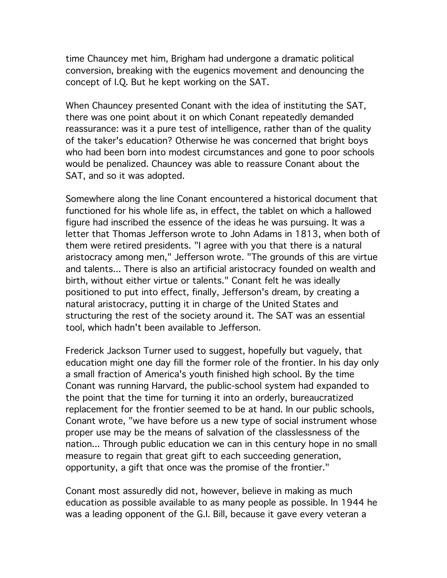time Chauncey met him, Brigham had undergone a dramatic political conversion, breaking with the eugenics movement and denouncing the concept of I.Q. But he kept working on the SAT.

When Chauncey presented Conant with the idea of instituting the SAT, there was one point about it on which Conant repeatedly demanded reassurance: was it a pure test of intelligence, rather than of the quality of the taker's education? Otherwise he was concerned that bright boys who had been born into modest circumstances and gone to poor schools would be penalized. Chauncey was able to reassure Conant about the SAT, and so it was adopted.

Somewhere along the line Conant encountered a historical document that functioned for his whole life as, in effect, the tablet on which a hallowed figure had inscribed the essence of the ideas he was pursuing. It was a letter that Thomas Jefferson wrote to John Adams in 1813, when both of them were retired presidents. "I agree with you that there is a natural aristocracy among men," Jefferson wrote. "The grounds of this are virtue and talents... There is also an artificial aristocracy founded on wealth and birth, without either virtue or talents." Conant felt he was ideally positioned to put into effect, finally, Jefferson's dream, by creating a natural aristocracy, putting it in charge of the United States and structuring the rest of the society around it. The SAT was an essential tool, which hadn't been available to Jefferson.

Frederick Jackson Turner used to suggest, hopefully but vaguely, that education might one day fill the former role of the frontier. In his day only a small fraction of America's youth finished high school. By the time Conant was running Harvard, the public-school system had expanded to the point that the time for turning it into an orderly, bureaucratized replacement for the frontier seemed to be at hand. In our public schools, Conant wrote, "we have before us a new type of social instrument whose proper use may be the means of salvation of the classlessness of the nation... Through public education we can in this century hope in no small measure to regain that great gift to each succeeding generation, opportunity, a gift that once was the promise of the frontier."

Conant most assuredly did not, however, believe in making as much education as possible available to as many people as possible. In 1944 he was a leading opponent of the G.I. Bill, because it gave every veteran a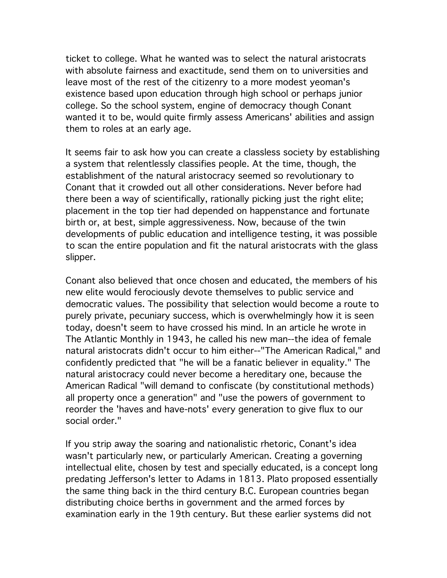ticket to college. What he wanted was to select the natural aristocrats with absolute fairness and exactitude, send them on to universities and leave most of the rest of the citizenry to a more modest yeoman's existence based upon education through high school or perhaps junior college. So the school system, engine of democracy though Conant wanted it to be, would quite firmly assess Americans' abilities and assign them to roles at an early age.

It seems fair to ask how you can create a classless society by establishing a system that relentlessly classifies people. At the time, though, the establishment of the natural aristocracy seemed so revolutionary to Conant that it crowded out all other considerations. Never before had there been a way of scientifically, rationally picking just the right elite; placement in the top tier had depended on happenstance and fortunate birth or, at best, simple aggressiveness. Now, because of the twin developments of public education and intelligence testing, it was possible to scan the entire population and fit the natural aristocrats with the glass slipper.

Conant also believed that once chosen and educated, the members of his new elite would ferociously devote themselves to public service and democratic values. The possibility that selection would become a route to purely private, pecuniary success, which is overwhelmingly how it is seen today, doesn't seem to have crossed his mind. In an article he wrote in The Atlantic Monthly in 1943, he called his new man--the idea of female natural aristocrats didn't occur to him either--"The American Radical," and confidently predicted that "he will be a fanatic believer in equality." The natural aristocracy could never become a hereditary one, because the American Radical "will demand to confiscate (by constitutional methods) all property once a generation" and "use the powers of government to reorder the 'haves and have-nots' every generation to give flux to our social order."

If you strip away the soaring and nationalistic rhetoric, Conant's idea wasn't particularly new, or particularly American. Creating a governing intellectual elite, chosen by test and specially educated, is a concept long predating Jefferson's letter to Adams in 1813. Plato proposed essentially the same thing back in the third century B.C. European countries began distributing choice berths in government and the armed forces by examination early in the 19th century. But these earlier systems did not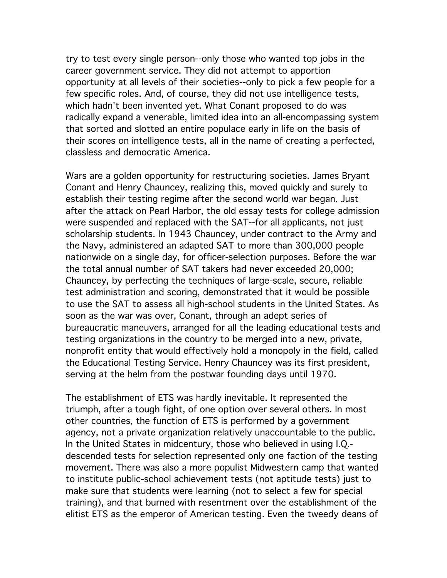try to test every single person--only those who wanted top jobs in the career government service. They did not attempt to apportion opportunity at all levels of their societies--only to pick a few people for a few specific roles. And, of course, they did not use intelligence tests, which hadn't been invented yet. What Conant proposed to do was radically expand a venerable, limited idea into an all-encompassing system that sorted and slotted an entire populace early in life on the basis of their scores on intelligence tests, all in the name of creating a perfected, classless and democratic America.

Wars are a golden opportunity for restructuring societies. James Bryant Conant and Henry Chauncey, realizing this, moved quickly and surely to establish their testing regime after the second world war began. Just after the attack on Pearl Harbor, the old essay tests for college admission were suspended and replaced with the SAT--for all applicants, not just scholarship students. In 1943 Chauncey, under contract to the Army and the Navy, administered an adapted SAT to more than 300,000 people nationwide on a single day, for officer-selection purposes. Before the war the total annual number of SAT takers had never exceeded 20,000; Chauncey, by perfecting the techniques of large-scale, secure, reliable test administration and scoring, demonstrated that it would be possible to use the SAT to assess all high-school students in the United States. As soon as the war was over, Conant, through an adept series of bureaucratic maneuvers, arranged for all the leading educational tests and testing organizations in the country to be merged into a new, private, nonprofit entity that would effectively hold a monopoly in the field, called the Educational Testing Service. Henry Chauncey was its first president, serving at the helm from the postwar founding days until 1970.

The establishment of ETS was hardly inevitable. It represented the triumph, after a tough fight, of one option over several others. In most other countries, the function of ETS is performed by a government agency, not a private organization relatively unaccountable to the public. In the United States in midcentury, those who believed in using I.Q. descended tests for selection represented only one faction of the testing movement. There was also a more populist Midwestern camp that wanted to institute public-school achievement tests (not aptitude tests) just to make sure that students were learning (not to select a few for special training), and that burned with resentment over the establishment of the elitist ETS as the emperor of American testing. Even the tweedy deans of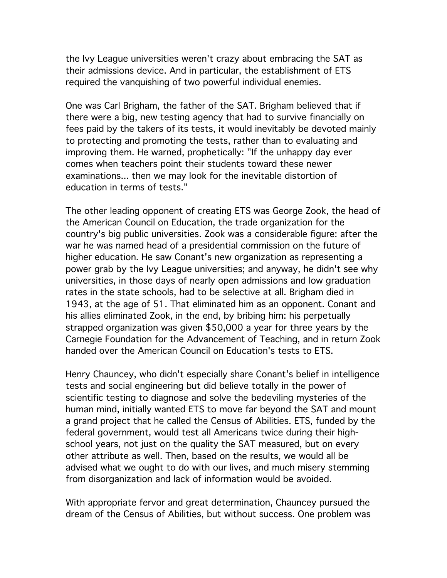the Ivy League universities weren't crazy about embracing the SAT as their admissions device. And in particular, the establishment of ETS required the vanquishing of two powerful individual enemies.

One was Carl Brigham, the father of the SAT. Brigham believed that if there were a big, new testing agency that had to survive financially on fees paid by the takers of its tests, it would inevitably be devoted mainly to protecting and promoting the tests, rather than to evaluating and improving them. He warned, prophetically: "If the unhappy day ever comes when teachers point their students toward these newer examinations... then we may look for the inevitable distortion of education in terms of tests."

The other leading opponent of creating ETS was George Zook, the head of the American Council on Education, the trade organization for the country's big public universities. Zook was a considerable figure: after the war he was named head of a presidential commission on the future of higher education. He saw Conant's new organization as representing a power grab by the Ivy League universities; and anyway, he didn't see why universities, in those days of nearly open admissions and low graduation rates in the state schools, had to be selective at all. Brigham died in 1943, at the age of 51. That eliminated him as an opponent. Conant and his allies eliminated Zook, in the end, by bribing him: his perpetually strapped organization was given \$50,000 a year for three years by the Carnegie Foundation for the Advancement of Teaching, and in return Zook handed over the American Council on Education's tests to ETS.

Henry Chauncey, who didn't especially share Conant's belief in intelligence tests and social engineering but did believe totally in the power of scientific testing to diagnose and solve the bedeviling mysteries of the human mind, initially wanted ETS to move far beyond the SAT and mount a grand project that he called the Census of Abilities. ETS, funded by the federal government, would test all Americans twice during their highschool years, not just on the quality the SAT measured, but on every other attribute as well. Then, based on the results, we would all be advised what we ought to do with our lives, and much misery stemming from disorganization and lack of information would be avoided.

With appropriate fervor and great determination, Chauncey pursued the dream of the Census of Abilities, but without success. One problem was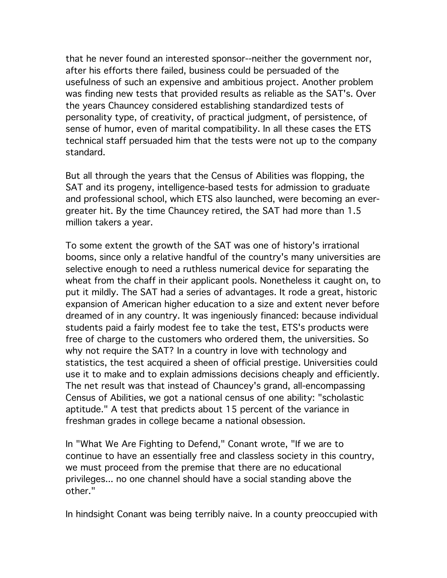that he never found an interested sponsor--neither the government nor, after his efforts there failed, business could be persuaded of the usefulness of such an expensive and ambitious project. Another problem was finding new tests that provided results as reliable as the SAT's. Over the years Chauncey considered establishing standardized tests of personality type, of creativity, of practical judgment, of persistence, of sense of humor, even of marital compatibility. In all these cases the ETS technical staff persuaded him that the tests were not up to the company standard.

But all through the years that the Census of Abilities was flopping, the SAT and its progeny, intelligence-based tests for admission to graduate and professional school, which ETS also launched, were becoming an evergreater hit. By the time Chauncey retired, the SAT had more than 1.5 million takers a year.

To some extent the growth of the SAT was one of history's irrational booms, since only a relative handful of the country's many universities are selective enough to need a ruthless numerical device for separating the wheat from the chaff in their applicant pools. Nonetheless it caught on, to put it mildly. The SAT had a series of advantages. It rode a great, historic expansion of American higher education to a size and extent never before dreamed of in any country. It was ingeniously financed: because individual students paid a fairly modest fee to take the test, ETS's products were free of charge to the customers who ordered them, the universities. So why not require the SAT? In a country in love with technology and statistics, the test acquired a sheen of official prestige. Universities could use it to make and to explain admissions decisions cheaply and efficiently. The net result was that instead of Chauncey's grand, all-encompassing Census of Abilities, we got a national census of one ability: "scholastic aptitude." A test that predicts about 15 percent of the variance in freshman grades in college became a national obsession.

In "What We Are Fighting to Defend," Conant wrote, "If we are to continue to have an essentially free and classless society in this country, we must proceed from the premise that there are no educational privileges... no one channel should have a social standing above the other."

In hindsight Conant was being terribly naive. In a county preoccupied with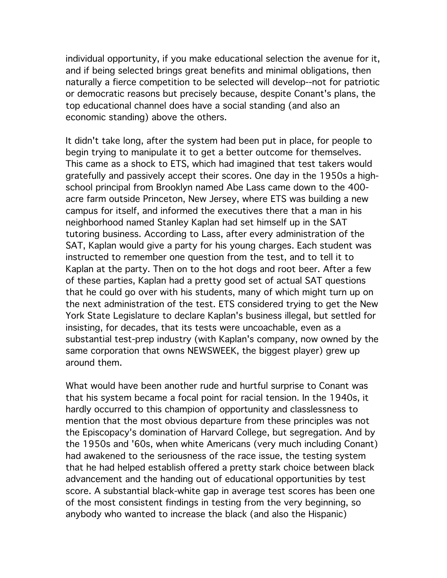individual opportunity, if you make educational selection the avenue for it, and if being selected brings great benefits and minimal obligations, then naturally a fierce competition to be selected will develop--not for patriotic or democratic reasons but precisely because, despite Conant's plans, the top educational channel does have a social standing (and also an economic standing) above the others.

It didn't take long, after the system had been put in place, for people to begin trying to manipulate it to get a better outcome for themselves. This came as a shock to ETS, which had imagined that test takers would gratefully and passively accept their scores. One day in the 1950s a highschool principal from Brooklyn named Abe Lass came down to the 400 acre farm outside Princeton, New Jersey, where ETS was building a new campus for itself, and informed the executives there that a man in his neighborhood named Stanley Kaplan had set himself up in the SAT tutoring business. According to Lass, after every administration of the SAT, Kaplan would give a party for his young charges. Each student was instructed to remember one question from the test, and to tell it to Kaplan at the party. Then on to the hot dogs and root beer. After a few of these parties, Kaplan had a pretty good set of actual SAT questions that he could go over with his students, many of which might turn up on the next administration of the test. ETS considered trying to get the New York State Legislature to declare Kaplan's business illegal, but settled for insisting, for decades, that its tests were uncoachable, even as a substantial test-prep industry (with Kaplan's company, now owned by the same corporation that owns NEWSWEEK, the biggest player) grew up around them.

What would have been another rude and hurtful surprise to Conant was that his system became a focal point for racial tension. In the 1940s, it hardly occurred to this champion of opportunity and classlessness to mention that the most obvious departure from these principles was not the Episcopacy's domination of Harvard College, but segregation. And by the 1950s and '60s, when white Americans (very much including Conant) had awakened to the seriousness of the race issue, the testing system that he had helped establish offered a pretty stark choice between black advancement and the handing out of educational opportunities by test score. A substantial black-white gap in average test scores has been one of the most consistent findings in testing from the very beginning, so anybody who wanted to increase the black (and also the Hispanic)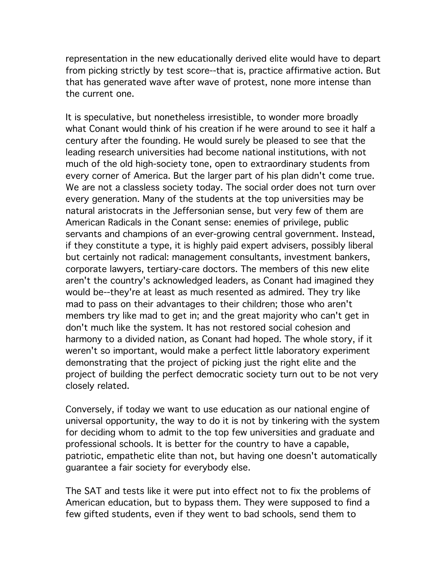representation in the new educationally derived elite would have to depart from picking strictly by test score--that is, practice affirmative action. But that has generated wave after wave of protest, none more intense than the current one.

It is speculative, but nonetheless irresistible, to wonder more broadly what Conant would think of his creation if he were around to see it half a century after the founding. He would surely be pleased to see that the leading research universities had become national institutions, with not much of the old high-society tone, open to extraordinary students from every corner of America. But the larger part of his plan didn't come true. We are not a classless society today. The social order does not turn over every generation. Many of the students at the top universities may be natural aristocrats in the Jeffersonian sense, but very few of them are American Radicals in the Conant sense: enemies of privilege, public servants and champions of an ever-growing central government. Instead, if they constitute a type, it is highly paid expert advisers, possibly liberal but certainly not radical: management consultants, investment bankers, corporate lawyers, tertiary-care doctors. The members of this new elite aren't the country's acknowledged leaders, as Conant had imagined they would be--they're at least as much resented as admired. They try like mad to pass on their advantages to their children; those who aren't members try like mad to get in; and the great majority who can't get in don't much like the system. It has not restored social cohesion and harmony to a divided nation, as Conant had hoped. The whole story, if it weren't so important, would make a perfect little laboratory experiment demonstrating that the project of picking just the right elite and the project of building the perfect democratic society turn out to be not very closely related.

Conversely, if today we want to use education as our national engine of universal opportunity, the way to do it is not by tinkering with the system for deciding whom to admit to the top few universities and graduate and professional schools. It is better for the country to have a capable, patriotic, empathetic elite than not, but having one doesn't automatically guarantee a fair society for everybody else.

The SAT and tests like it were put into effect not to fix the problems of American education, but to bypass them. They were supposed to find a few gifted students, even if they went to bad schools, send them to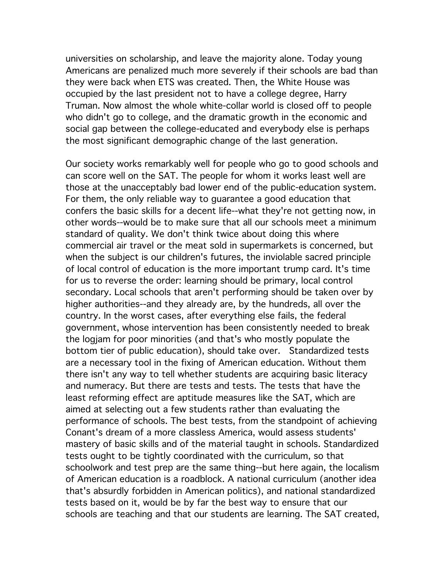universities on scholarship, and leave the majority alone. Today young Americans are penalized much more severely if their schools are bad than they were back when ETS was created. Then, the White House was occupied by the last president not to have a college degree, Harry Truman. Now almost the whole white-collar world is closed off to people who didn't go to college, and the dramatic growth in the economic and social gap between the college-educated and everybody else is perhaps the most significant demographic change of the last generation.

Our society works remarkably well for people who go to good schools and can score well on the SAT. The people for whom it works least well are those at the unacceptably bad lower end of the public-education system. For them, the only reliable way to guarantee a good education that confers the basic skills for a decent life--what they're not getting now, in other words--would be to make sure that all our schools meet a minimum standard of quality. We don't think twice about doing this where commercial air travel or the meat sold in supermarkets is concerned, but when the subject is our children's futures, the inviolable sacred principle of local control of education is the more important trump card. It's time for us to reverse the order: learning should be primary, local control secondary. Local schools that aren't performing should be taken over by higher authorities--and they already are, by the hundreds, all over the country. In the worst cases, after everything else fails, the federal government, whose intervention has been consistently needed to break the logjam for poor minorities (and that's who mostly populate the bottom tier of public education), should take over. Standardized tests are a necessary tool in the fixing of American education. Without them there isn't any way to tell whether students are acquiring basic literacy and numeracy. But there are tests and tests. The tests that have the least reforming effect are aptitude measures like the SAT, which are aimed at selecting out a few students rather than evaluating the performance of schools. The best tests, from the standpoint of achieving Conant's dream of a more classless America, would assess students' mastery of basic skills and of the material taught in schools. Standardized tests ought to be tightly coordinated with the curriculum, so that schoolwork and test prep are the same thing--but here again, the localism of American education is a roadblock. A national curriculum (another idea that's absurdly forbidden in American politics), and national standardized tests based on it, would be by far the best way to ensure that our schools are teaching and that our students are learning. The SAT created,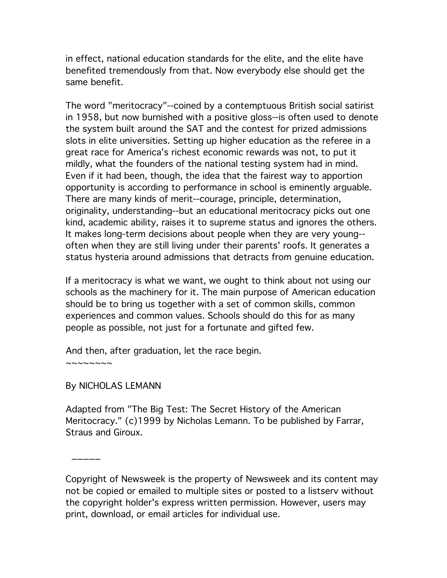in effect, national education standards for the elite, and the elite have benefited tremendously from that. Now everybody else should get the same benefit.

The word "meritocracy"--coined by a contemptuous British social satirist in 1958, but now burnished with a positive gloss--is often used to denote the system built around the SAT and the contest for prized admissions slots in elite universities. Setting up higher education as the referee in a great race for America's richest economic rewards was not, to put it mildly, what the founders of the national testing system had in mind. Even if it had been, though, the idea that the fairest way to apportion opportunity is according to performance in school is eminently arguable. There are many kinds of merit--courage, principle, determination, originality, understanding--but an educational meritocracy picks out one kind, academic ability, raises it to supreme status and ignores the others. It makes long-term decisions about people when they are very young- often when they are still living under their parents' roofs. It generates a status hysteria around admissions that detracts from genuine education.

If a meritocracy is what we want, we ought to think about not using our schools as the machinery for it. The main purpose of American education should be to bring us together with a set of common skills, common experiences and common values. Schools should do this for as many people as possible, not just for a fortunate and gifted few.

And then, after graduation, let the race begin.  $\sim$   $\sim$   $\sim$   $\sim$   $\sim$   $\sim$ 

## By NICHOLAS LEMANN

 $\overline{\phantom{a}}$ 

Adapted from "The Big Test: The Secret History of the American Meritocracy." (c)1999 by Nicholas Lemann. To be published by Farrar, Straus and Giroux.

Copyright of Newsweek is the property of Newsweek and its content may not be copied or emailed to multiple sites or posted to a listserv without the copyright holder's express written permission. However, users may print, download, or email articles for individual use.